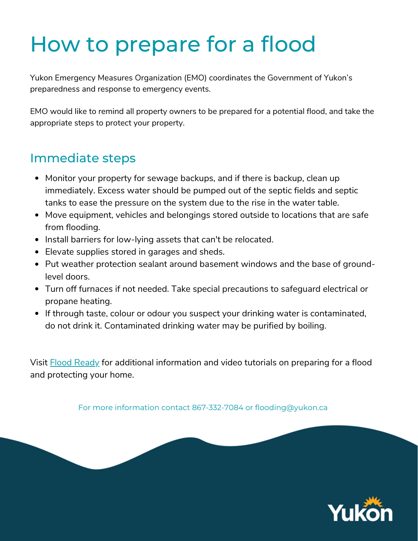# How to prepare for a flood

Yukon Emergency Measures Organization (EMO) coordinates the Government of Yukon's preparedness and response to emergency events.

EMO would like to remind all property owners to be prepared for a potential flood, and take the appropriate steps to protect your property.

## Immediate steps

- Monitor your property for sewage backups, and if there is backup, clean up immediately. Excess water should be pumped out of the septic fields and septic tanks to ease the pressure on the system due to the rise in the water table.
- Move equipment, vehicles and belongings stored outside to locations that are safe from flooding.
- Install barriers for low-lying assets that can't be relocated.
- Elevate supplies stored in garages and sheds.
- Put weather protection sealant around basement windows and the base of groundlevel doors.
- Turn off furnaces if not needed. Take special precautions to safeguard electrical or propane heating.
- If through taste, colour or odour you suspect your drinking water is contaminated, do not drink it. Contaminated drinking water may be purified by boiling.

Visit **Flood [Ready](https://www.canada.ca/en/campaign/flood-ready.html)** for additional information and video tutorials on preparing for a flood and protecting your home.

For more information contact 867-332-7084 or flooding@yukon.ca